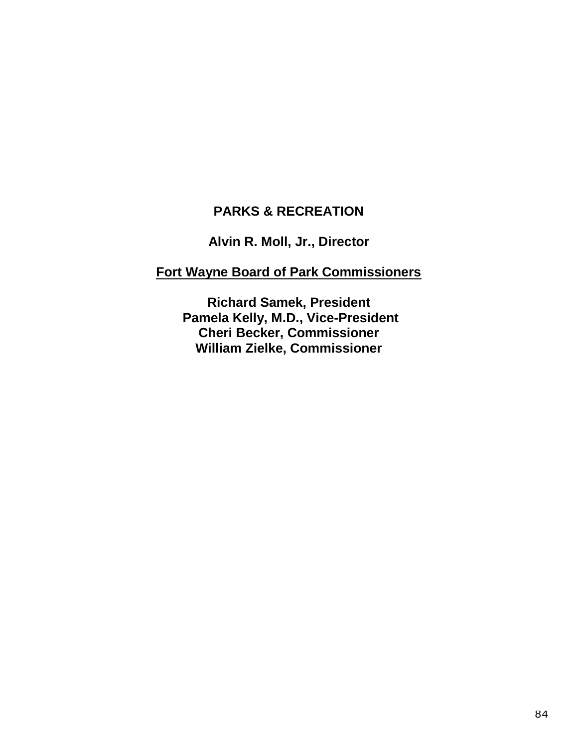# **PARKS & RECREATION**

**Alvin R. Moll, Jr., Director**

# **Fort Wayne Board of Park Commissioners**

**Richard Samek, President Pamela Kelly, M.D., Vice-President Cheri Becker, Commissioner William Zielke, Commissioner**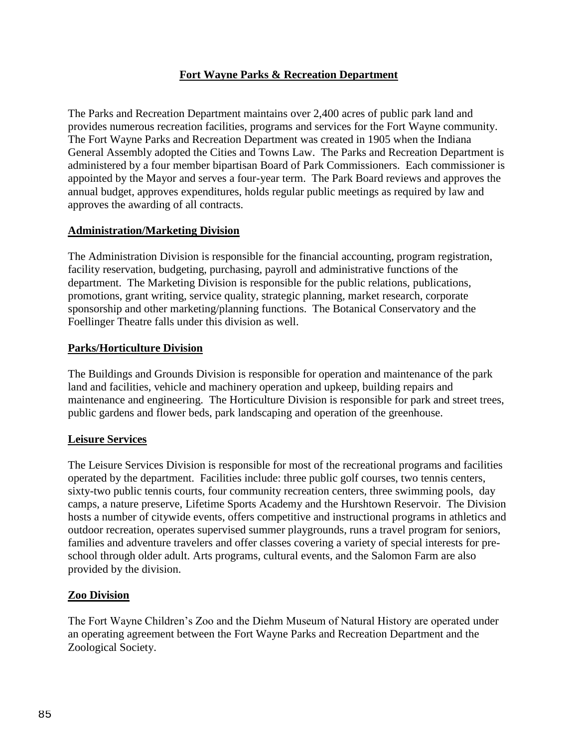## **Fort Wayne Parks & Recreation Department**

The Parks and Recreation Department maintains over 2,400 acres of public park land and provides numerous recreation facilities, programs and services for the Fort Wayne community. The Fort Wayne Parks and Recreation Department was created in 1905 when the Indiana General Assembly adopted the Cities and Towns Law. The Parks and Recreation Department is administered by a four member bipartisan Board of Park Commissioners. Each commissioner is appointed by the Mayor and serves a four-year term. The Park Board reviews and approves the annual budget, approves expenditures, holds regular public meetings as required by law and approves the awarding of all contracts.

### **Administration/Marketing Division**

The Administration Division is responsible for the financial accounting, program registration, facility reservation, budgeting, purchasing, payroll and administrative functions of the department. The Marketing Division is responsible for the public relations, publications, promotions, grant writing, service quality, strategic planning, market research, corporate sponsorship and other marketing/planning functions. The Botanical Conservatory and the Foellinger Theatre falls under this division as well.

### **Parks/Horticulture Division**

The Buildings and Grounds Division is responsible for operation and maintenance of the park land and facilities, vehicle and machinery operation and upkeep, building repairs and maintenance and engineering. The Horticulture Division is responsible for park and street trees, public gardens and flower beds, park landscaping and operation of the greenhouse.

### **Leisure Services**

The Leisure Services Division is responsible for most of the recreational programs and facilities operated by the department. Facilities include: three public golf courses, two tennis centers, sixty-two public tennis courts, four community recreation centers, three swimming pools, day camps, a nature preserve, Lifetime Sports Academy and the Hurshtown Reservoir. The Division hosts a number of citywide events, offers competitive and instructional programs in athletics and outdoor recreation, operates supervised summer playgrounds, runs a travel program for seniors, families and adventure travelers and offer classes covering a variety of special interests for preschool through older adult. Arts programs, cultural events, and the Salomon Farm are also provided by the division.

### **Zoo Division**

The Fort Wayne Children's Zoo and the Diehm Museum of Natural History are operated under an operating agreement between the Fort Wayne Parks and Recreation Department and the Zoological Society.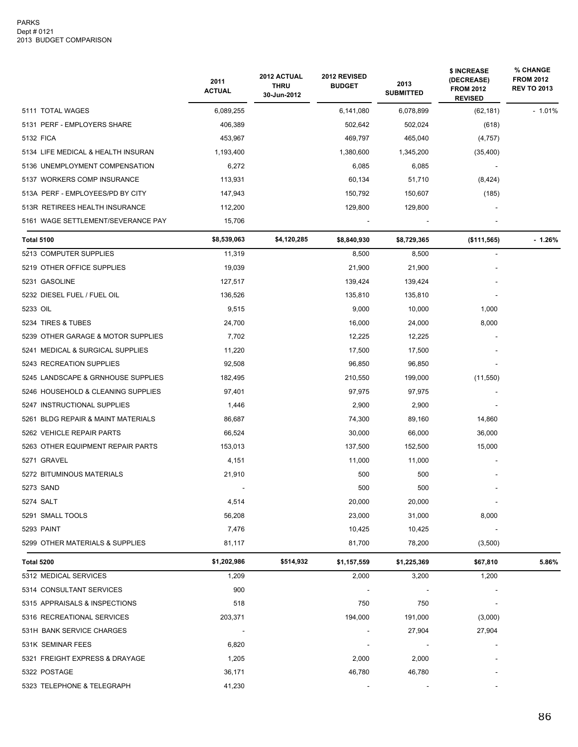|                                    | 2011<br><b>ACTUAL</b>    | 2012 ACTUAL<br><b>THRU</b><br>30-Jun-2012 | 2012 REVISED<br><b>BUDGET</b> | 2013<br><b>SUBMITTED</b> | \$ INCREASE<br>(DECREASE)<br><b>FROM 2012</b><br><b>REVISED</b> | <b>% CHANGE</b><br><b>FROM 2012</b><br><b>REV TO 2013</b> |
|------------------------------------|--------------------------|-------------------------------------------|-------------------------------|--------------------------|-----------------------------------------------------------------|-----------------------------------------------------------|
| 5111 TOTAL WAGES                   | 6,089,255                |                                           | 6,141,080                     | 6,078,899                | (62, 181)                                                       | $-1.01%$                                                  |
| 5131 PERF - EMPLOYERS SHARE        | 406,389                  |                                           | 502,642                       | 502,024                  | (618)                                                           |                                                           |
| 5132 FICA                          | 453,967                  |                                           | 469,797                       | 465,040                  | (4,757)                                                         |                                                           |
| 5134 LIFE MEDICAL & HEALTH INSURAN | 1,193,400                |                                           | 1,380,600                     | 1,345,200                | (35, 400)                                                       |                                                           |
| 5136 UNEMPLOYMENT COMPENSATION     | 6,272                    |                                           | 6,085                         | 6,085                    |                                                                 |                                                           |
| 5137 WORKERS COMP INSURANCE        | 113,931                  |                                           | 60,134                        | 51,710                   | (8,424)                                                         |                                                           |
| 513A PERF - EMPLOYEES/PD BY CITY   | 147,943                  |                                           | 150,792                       | 150,607                  | (185)                                                           |                                                           |
| 513R RETIREES HEALTH INSURANCE     | 112,200                  |                                           | 129,800                       | 129,800                  |                                                                 |                                                           |
| 5161 WAGE SETTLEMENT/SEVERANCE PAY | 15,706                   |                                           |                               |                          |                                                                 |                                                           |
| <b>Total 5100</b>                  | \$8,539,063              | \$4,120,285                               | \$8,840,930                   | \$8,729,365              | ( \$111, 565)                                                   | $-1.26%$                                                  |
| 5213 COMPUTER SUPPLIES             | 11,319                   |                                           | 8,500                         | 8,500                    |                                                                 |                                                           |
| 5219 OTHER OFFICE SUPPLIES         | 19,039                   |                                           | 21,900                        | 21,900                   |                                                                 |                                                           |
| 5231 GASOLINE                      | 127,517                  |                                           | 139,424                       | 139,424                  |                                                                 |                                                           |
| 5232 DIESEL FUEL / FUEL OIL        | 136,526                  |                                           | 135,810                       | 135,810                  |                                                                 |                                                           |
| 5233 OIL                           | 9,515                    |                                           | 9,000                         | 10,000                   | 1,000                                                           |                                                           |
| 5234 TIRES & TUBES                 | 24,700                   |                                           | 16,000                        | 24,000                   | 8,000                                                           |                                                           |
| 5239 OTHER GARAGE & MOTOR SUPPLIES | 7,702                    |                                           | 12,225                        | 12,225                   |                                                                 |                                                           |
| 5241 MEDICAL & SURGICAL SUPPLIES   | 11,220                   |                                           | 17,500                        | 17,500                   |                                                                 |                                                           |
| 5243 RECREATION SUPPLIES           | 92,508                   |                                           | 96,850                        | 96,850                   |                                                                 |                                                           |
| 5245 LANDSCAPE & GRNHOUSE SUPPLIES | 182,495                  |                                           | 210,550                       | 199,000                  | (11, 550)                                                       |                                                           |
| 5246 HOUSEHOLD & CLEANING SUPPLIES | 97,401                   |                                           | 97,975                        | 97,975                   |                                                                 |                                                           |
| 5247 INSTRUCTIONAL SUPPLIES        | 1,446                    |                                           | 2,900                         | 2,900                    |                                                                 |                                                           |
| 5261 BLDG REPAIR & MAINT MATERIALS | 86,687                   |                                           | 74,300                        | 89,160                   | 14,860                                                          |                                                           |
| 5262 VEHICLE REPAIR PARTS          | 66,524                   |                                           | 30,000                        | 66,000                   | 36,000                                                          |                                                           |
| 5263 OTHER EQUIPMENT REPAIR PARTS  | 153,013                  |                                           | 137,500                       | 152,500                  | 15,000                                                          |                                                           |
| 5271 GRAVEL                        | 4,151                    |                                           | 11,000                        | 11,000                   |                                                                 |                                                           |
| 5272 BITUMINOUS MATERIALS          | 21,910                   |                                           | 500                           | 500                      |                                                                 |                                                           |
| 5273 SAND                          |                          |                                           | 500                           | 500                      |                                                                 |                                                           |
| 5274 SALT                          | 4,514                    |                                           | 20,000                        | 20,000                   |                                                                 |                                                           |
| 5291 SMALL TOOLS                   | 56,208                   |                                           | 23,000                        | 31,000                   | 8,000                                                           |                                                           |
| 5293 PAINT                         | 7,476                    |                                           | 10,425                        | 10,425                   |                                                                 |                                                           |
| 5299 OTHER MATERIALS & SUPPLIES    | 81,117                   |                                           | 81,700                        | 78,200                   | (3,500)                                                         |                                                           |
| Total 5200                         | \$1,202,986              | \$514,932                                 | \$1,157,559                   | \$1,225,369              | \$67,810                                                        | 5.86%                                                     |
| 5312 MEDICAL SERVICES              | 1,209                    |                                           | 2,000                         | 3,200                    | 1,200                                                           |                                                           |
| 5314 CONSULTANT SERVICES           | 900                      |                                           |                               |                          |                                                                 |                                                           |
| 5315 APPRAISALS & INSPECTIONS      | 518                      |                                           | 750                           | 750                      |                                                                 |                                                           |
| 5316 RECREATIONAL SERVICES         | 203,371                  |                                           | 194,000                       | 191,000                  | (3,000)                                                         |                                                           |
| 531H BANK SERVICE CHARGES          | $\overline{\phantom{a}}$ |                                           |                               | 27,904                   | 27,904                                                          |                                                           |
| 531K SEMINAR FEES                  | 6,820                    |                                           |                               |                          |                                                                 |                                                           |
| 5321 FREIGHT EXPRESS & DRAYAGE     | 1,205                    |                                           | 2,000                         | 2,000                    |                                                                 |                                                           |
| 5322 POSTAGE                       | 36,171                   |                                           | 46,780                        | 46,780                   |                                                                 |                                                           |
| 5323 TELEPHONE & TELEGRAPH         | 41,230                   |                                           |                               |                          |                                                                 |                                                           |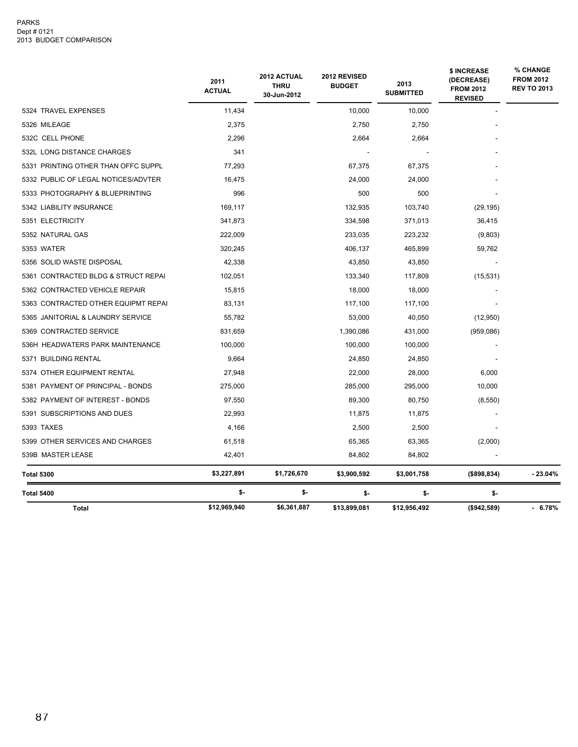#### PARKS Dept # 0121 2013 BUDGET COMPARISON

|                                     | 2011<br><b>ACTUAL</b> | 2012 ACTUAL<br><b>THRU</b><br>30-Jun-2012 | 2012 REVISED<br><b>BUDGET</b> | 2013<br><b>SUBMITTED</b> | \$ INCREASE<br>(DECREASE)<br><b>FROM 2012</b><br><b>REVISED</b> | % CHANGE<br><b>FROM 2012</b><br><b>REV TO 2013</b> |
|-------------------------------------|-----------------------|-------------------------------------------|-------------------------------|--------------------------|-----------------------------------------------------------------|----------------------------------------------------|
| 5324 TRAVEL EXPENSES                | 11,434                |                                           | 10,000                        | 10,000                   |                                                                 |                                                    |
| 5326 MILEAGE                        | 2,375                 |                                           | 2,750                         | 2,750                    |                                                                 |                                                    |
| 532C CELL PHONE                     | 2,296                 |                                           | 2,664                         | 2,664                    |                                                                 |                                                    |
| 532L LONG DISTANCE CHARGES          | 341                   |                                           |                               |                          |                                                                 |                                                    |
| 5331 PRINTING OTHER THAN OFFC SUPPL | 77,293                |                                           | 67,375                        | 67,375                   |                                                                 |                                                    |
| 5332 PUBLIC OF LEGAL NOTICES/ADVTER | 16,475                |                                           | 24,000                        | 24,000                   |                                                                 |                                                    |
| 5333 PHOTOGRAPHY & BLUEPRINTING     | 996                   |                                           | 500                           | 500                      |                                                                 |                                                    |
| 5342 LIABILITY INSURANCE            | 169,117               |                                           | 132,935                       | 103,740                  | (29, 195)                                                       |                                                    |
| 5351 ELECTRICITY                    | 341,873               |                                           | 334,598                       | 371,013                  | 36,415                                                          |                                                    |
| 5352 NATURAL GAS                    | 222,009               |                                           | 233,035                       | 223,232                  | (9,803)                                                         |                                                    |
| 5353 WATER                          | 320,245               |                                           | 406,137                       | 465,899                  | 59,762                                                          |                                                    |
| 5356 SOLID WASTE DISPOSAL           | 42,338                |                                           | 43,850                        | 43,850                   |                                                                 |                                                    |
| 5361 CONTRACTED BLDG & STRUCT REPAI | 102,051               |                                           | 133,340                       | 117,809                  | (15, 531)                                                       |                                                    |
| 5362 CONTRACTED VEHICLE REPAIR      | 15,815                |                                           | 18,000                        | 18,000                   |                                                                 |                                                    |
| 5363 CONTRACTED OTHER EQUIPMT REPAI | 83,131                |                                           | 117,100                       | 117,100                  |                                                                 |                                                    |
| 5365 JANITORIAL & LAUNDRY SERVICE   | 55,782                |                                           | 53,000                        | 40,050                   | (12,950)                                                        |                                                    |
| 5369 CONTRACTED SERVICE             | 831,659               |                                           | 1,390,086                     | 431,000                  | (959,086)                                                       |                                                    |
| 536H HEADWATERS PARK MAINTENANCE    | 100,000               |                                           | 100,000                       | 100,000                  |                                                                 |                                                    |
| 5371 BUILDING RENTAL                | 9,664                 |                                           | 24,850                        | 24,850                   |                                                                 |                                                    |
| 5374 OTHER EQUIPMENT RENTAL         | 27,948                |                                           | 22,000                        | 28,000                   | 6,000                                                           |                                                    |
| 5381 PAYMENT OF PRINCIPAL - BONDS   | 275,000               |                                           | 285,000                       | 295,000                  | 10,000                                                          |                                                    |
| 5382 PAYMENT OF INTEREST - BONDS    | 97,550                |                                           | 89,300                        | 80,750                   | (8,550)                                                         |                                                    |
| 5391 SUBSCRIPTIONS AND DUES         | 22,993                |                                           | 11,875                        | 11,875                   |                                                                 |                                                    |
| <b>5393 TAXES</b>                   | 4,166                 |                                           | 2,500                         | 2,500                    |                                                                 |                                                    |
| 5399 OTHER SERVICES AND CHARGES     | 61,518                |                                           | 65,365                        | 63,365                   | (2,000)                                                         |                                                    |
| 539B MASTER LEASE                   | 42,401                |                                           | 84,802                        | 84,802                   |                                                                 |                                                    |
| Total 5300                          | \$3,227,891           | \$1,726,670                               | \$3,900,592                   | \$3,001,758              | (\$898,834)                                                     | - 23.04%                                           |
| Total 5400                          | \$-                   | \$-                                       | \$-                           | \$-                      | \$-                                                             |                                                    |
| <b>Total</b>                        | \$12,969,940          | \$6,361,887                               | \$13,899,081                  | \$12,956,492             | (\$942,589)                                                     | $-6.78%$                                           |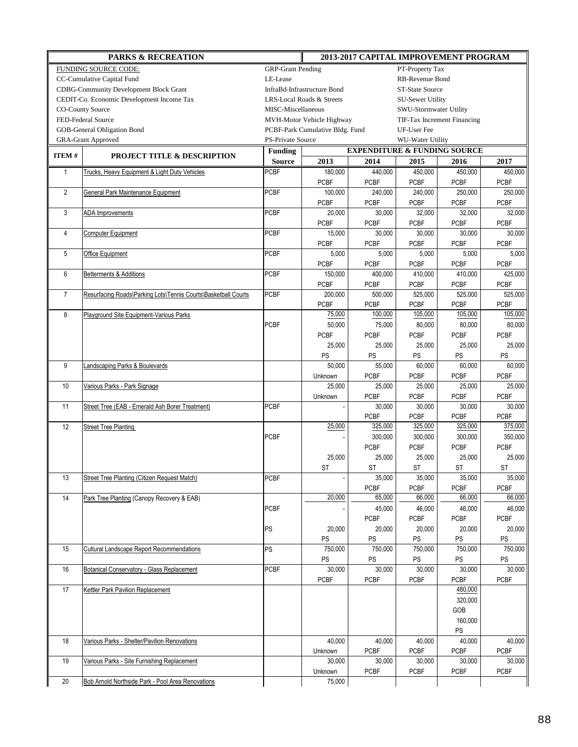| <b>PARKS &amp; RECREATION</b>                 |                                                                |                                                | 2013-2017 CAPITAL IMPROVEMENT PROGRAM                |                                         |                        |                             |              |
|-----------------------------------------------|----------------------------------------------------------------|------------------------------------------------|------------------------------------------------------|-----------------------------------------|------------------------|-----------------------------|--------------|
| FUNDING SOURCE CODE:                          |                                                                | <b>GRP-Grant Pending</b>                       | PT-Property Tax                                      |                                         |                        |                             |              |
| CC-Cumulative Capital Fund                    |                                                                | LE-Lease                                       | RB-Revenue Bond                                      |                                         |                        |                             |              |
| <b>CDBG-Community Development Block Grant</b> |                                                                | InfraBd-Infrastructure Bond<br>ST-State Source |                                                      |                                         |                        |                             |              |
| CEDIT-Co. Economic Development Income Tax     |                                                                |                                                | LRS-Local Roads & Streets<br><b>SU-Sewer Utility</b> |                                         |                        |                             |              |
| <b>CO-County Source</b>                       |                                                                | MISC-Miscellaneous                             |                                                      |                                         | SWU-Stormwater Utility |                             |              |
|                                               | FED-Federal Source                                             |                                                | MVH-Motor Vehicle Highway                            |                                         |                        | TIF-Tax Increment Financing |              |
|                                               | GOB-General Obligation Bond                                    |                                                | PCBF-Park Cumulative Bldg. Fund                      |                                         | UF-User Fee            |                             |              |
|                                               | <b>GRA-Grant Approved</b>                                      | PS-Private Source                              |                                                      |                                         | WU-Water Utility       |                             |              |
|                                               | <b>PROJECT TITLE &amp; DESCRIPTION</b>                         | <b>Funding</b>                                 |                                                      | <b>EXPENDITURE &amp; FUNDING SOURCE</b> |                        |                             |              |
| ITEM#                                         |                                                                | <b>Source</b>                                  | 2013                                                 | 2014                                    | 2015                   | 2016                        | 2017         |
| $\mathbf{1}$                                  | Trucks, Heavy Equipment & Light Duty Vehicles                  | PCBF                                           | 180,000                                              | 440,000                                 | 450,000                | 450,000                     | 450,000      |
|                                               |                                                                |                                                | <b>PCBF</b>                                          | <b>PCBF</b>                             | <b>PCBF</b>            | <b>PCBF</b>                 | <b>PCBF</b>  |
| $\overline{2}$                                | General Park Maintenance Equipment                             | <b>PCBF</b>                                    | 100,000                                              | 240,000                                 | 240,000                | 250,000                     | 250,000      |
|                                               |                                                                |                                                | <b>PCBF</b>                                          | <b>PCBF</b>                             | <b>PCBF</b>            | <b>PCBF</b>                 | <b>PCBF</b>  |
| 3                                             | ADA Improvements                                               | <b>PCBF</b>                                    | 20,000                                               | 30,000                                  | 32,000                 | 32,000                      | 32,000       |
|                                               |                                                                |                                                | <b>PCBF</b>                                          | <b>PCBF</b>                             | <b>PCBF</b>            | <b>PCBF</b>                 | <b>PCBF</b>  |
| 4                                             | <b>Computer Equipment</b>                                      | <b>PCBF</b>                                    | 15,000                                               | 30,000                                  | 30,000                 | 30,000                      | 30,000       |
|                                               |                                                                |                                                | <b>PCBF</b>                                          | <b>PCBF</b>                             | <b>PCBF</b>            | <b>PCBF</b>                 | <b>PCBF</b>  |
| 5                                             | Office Equipment                                               | <b>PCBF</b>                                    | 5,000                                                | 5,000                                   | 5,000                  | 5,000                       | 5,000        |
|                                               |                                                                |                                                | <b>PCBF</b>                                          | <b>PCBF</b>                             | <b>PCBF</b>            | <b>PCBF</b>                 | <b>PCBF</b>  |
| 6                                             | Betterments & Additions                                        | <b>PCBF</b>                                    | 150,000                                              | 400,000                                 | 410,000                | 410,000                     | 425,000      |
|                                               |                                                                |                                                | <b>PCBF</b>                                          | <b>PCBF</b>                             | <b>PCBF</b>            | <b>PCBF</b>                 | <b>PCBF</b>  |
| $\overline{7}$                                | Resurfacing Roads\Parking Lots\Tennis Courts\Basketball Courts | <b>PCBF</b>                                    | 200,000                                              | 500,000                                 | 525,000                | 525,000                     | 525,000      |
|                                               |                                                                |                                                | <b>PCBF</b>                                          | <b>PCBF</b>                             | <b>PCBF</b>            | <b>PCBF</b>                 | <b>PCBF</b>  |
| 8                                             | Playground Site Equipment-Various Parks                        |                                                | 75,000                                               | 100,000                                 | 105,000                | 105,000                     | 105,000      |
|                                               |                                                                | <b>PCBF</b>                                    | 50,000                                               | 75,000                                  | 80,000                 | 80,000                      | 80,000       |
|                                               |                                                                |                                                | <b>PCBF</b>                                          | <b>PCBF</b>                             | <b>PCBF</b>            | <b>PCBF</b>                 | <b>PCBF</b>  |
|                                               |                                                                |                                                | 25,000                                               | 25,000                                  | 25,000                 | 25,000                      | 25,000       |
|                                               |                                                                |                                                | PS                                                   | <b>PS</b>                               | PS                     | PS                          | PS           |
| 9                                             | Landscaping Parks & Boulevards                                 |                                                | 50,000                                               | 55,000                                  | 60,000                 | 60,000                      | 60,000       |
|                                               |                                                                |                                                | Unknown                                              | <b>PCBF</b>                             | <b>PCBF</b>            | <b>PCBF</b>                 | <b>PCBF</b>  |
| 10                                            | Various Parks - Park Signage                                   |                                                | 25,000                                               | 25,000                                  | 25,000                 | 25,000                      | 25,000       |
|                                               |                                                                |                                                | Unknown                                              | <b>PCBF</b>                             | <b>PCBF</b>            | <b>PCBF</b>                 | <b>PCBF</b>  |
| 11                                            | Street Tree (EAB - Emerald Ash Borer Treatment)                | <b>PCBF</b>                                    |                                                      | 30,000                                  | 30,000                 | 30,000                      | 30,000       |
|                                               |                                                                |                                                |                                                      | <b>PCBF</b>                             | <b>PCBF</b>            | <b>PCBF</b>                 | <b>PCBF</b>  |
| 12                                            | <b>Street Tree Planting</b>                                    |                                                | 25,000                                               | 325,000                                 | 325,000                | 325,000                     | 375,000      |
|                                               |                                                                | <b>PCBF</b>                                    |                                                      | 300,000                                 | 300,000                | 300,000                     | 350,000      |
|                                               |                                                                |                                                |                                                      | <b>PCBF</b>                             | <b>PCBF</b>            | <b>PCBF</b>                 | <b>PCBF</b>  |
|                                               |                                                                |                                                | 25,000                                               | 25,000<br><b>ST</b>                     | 25,000                 | 25,000<br>ST                | 25,000       |
|                                               |                                                                |                                                | ST                                                   |                                         | ST<br>35,000           |                             | ST<br>35,000 |
| 13                                            | <b>Street Tree Planting (Citizen Request Match)</b>            | <b>PCBF</b>                                    |                                                      | 35,000<br><b>PCBF</b>                   | PCBF                   | 35,000<br><b>PCBF</b>       | <b>PCBF</b>  |
| 14                                            | Park Tree Planting (Canopy Recovery & EAB)                     |                                                | 20,000                                               | 65,000                                  | 66,000                 | 66,000                      | 66,000       |
|                                               |                                                                | <b>PCBF</b>                                    |                                                      | 45,000                                  | 46,000                 | 46,000                      | 46,000       |
|                                               |                                                                |                                                |                                                      | <b>PCBF</b>                             | <b>PCBF</b>            | <b>PCBF</b>                 | PCBF         |
|                                               |                                                                | <b>PS</b>                                      | 20,000                                               | 20,000                                  | 20,000                 | 20,000                      | 20,000       |
|                                               |                                                                |                                                | <b>PS</b>                                            | <b>PS</b>                               | <b>PS</b>              | <b>PS</b>                   | PS           |
| 15                                            | <b>Cultural Landscape Report Recommendations</b>               | <b>PS</b>                                      | 750,000                                              | 750,000                                 | 750,000                | 750,000                     | 750,000      |
|                                               |                                                                |                                                | <b>PS</b>                                            | <b>PS</b>                               | <b>PS</b>              | PS                          | PS           |
| 16                                            | Botanical Conservatory - Glass Replacement                     | <b>PCBF</b>                                    | 30,000                                               | 30,000                                  | 30,000                 | 30,000                      | 30,000       |
|                                               |                                                                |                                                | <b>PCBF</b>                                          | <b>PCBF</b>                             | <b>PCBF</b>            | <b>PCBF</b>                 | PCBF         |
| 17                                            | Kettler Park Pavilion Replacement                              |                                                |                                                      |                                         |                        | 480,000                     |              |
|                                               |                                                                |                                                |                                                      |                                         |                        | 320,000                     |              |
|                                               |                                                                |                                                |                                                      |                                         |                        | GOB                         |              |
|                                               |                                                                |                                                |                                                      |                                         |                        | 160,000                     |              |
|                                               |                                                                |                                                |                                                      |                                         |                        | PS                          |              |
| 18                                            | Various Parks - Shelter/Pavilion Renovations                   |                                                | 40,000                                               | 40,000                                  | 40,000                 | 40,000                      | 40,000       |
|                                               |                                                                |                                                | Unknown                                              | PCBF                                    | <b>PCBF</b>            | <b>PCBF</b>                 | PCBF         |
| 19                                            | Various Parks - Site Furnishing Replacement                    |                                                | 30,000                                               | 30,000                                  | 30,000                 | 30,000                      | 30,000       |
|                                               |                                                                |                                                | Unknown                                              | <b>PCBF</b>                             | PCBF                   | PCBF                        | <b>PCBF</b>  |
| 20                                            | Bob Arnold Northside Park - Pool Area Renovations              |                                                | 75,000                                               |                                         |                        |                             |              |
|                                               |                                                                |                                                |                                                      |                                         |                        |                             |              |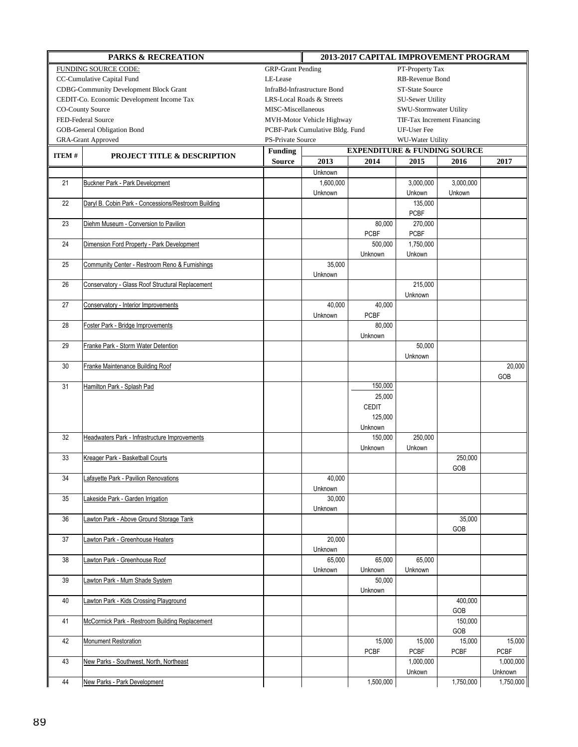| <b>PARKS &amp; RECREATION</b>                    |                                                     |                                                           | 2013-2017 CAPITAL IMPROVEMENT PROGRAM |                |                             |             |             |  |  |
|--------------------------------------------------|-----------------------------------------------------|-----------------------------------------------------------|---------------------------------------|----------------|-----------------------------|-------------|-------------|--|--|
| FUNDING SOURCE CODE:<br><b>GRP-Grant Pending</b> |                                                     |                                                           | PT-Property Tax                       |                |                             |             |             |  |  |
|                                                  | CC-Cumulative Capital Fund                          | LE-Lease<br>RB-Revenue Bond                               |                                       |                |                             |             |             |  |  |
|                                                  | <b>CDBG-Community Development Block Grant</b>       | InfraBd-Infrastructure Bond                               |                                       |                | ST-State Source             |             |             |  |  |
|                                                  | CEDIT-Co. Economic Development Income Tax           | LRS-Local Roads & Streets                                 |                                       |                | SU-Sewer Utility            |             |             |  |  |
|                                                  | <b>CO-County Source</b>                             | MISC-Miscellaneous                                        |                                       |                | SWU-Stormwater Utility      |             |             |  |  |
|                                                  | FED-Federal Source                                  |                                                           | MVH-Motor Vehicle Highway             |                | TIF-Tax Increment Financing |             |             |  |  |
|                                                  | GOB-General Obligation Bond                         |                                                           | PCBF-Park Cumulative Bldg. Fund       |                | UF-User Fee                 |             |             |  |  |
|                                                  | <b>GRA-Grant Approved</b>                           | PS-Private Source                                         |                                       |                | WU-Water Utility            |             |             |  |  |
|                                                  |                                                     | <b>Funding</b><br><b>EXPENDITURE &amp; FUNDING SOURCE</b> |                                       |                |                             |             |             |  |  |
| ITEM #                                           | <b>PROJECT TITLE &amp; DESCRIPTION</b>              | <b>Source</b>                                             | 2013                                  | 2014           | 2015                        | 2016        | 2017        |  |  |
|                                                  |                                                     |                                                           | Unknown                               |                |                             |             |             |  |  |
| 21                                               | <b>Buckner Park - Park Development</b>              |                                                           | 1,600,000                             |                | 3,000,000                   | 3,000,000   |             |  |  |
|                                                  |                                                     |                                                           | Unknown                               |                | Unkown                      | Unkown      |             |  |  |
| 22                                               | Daryl B. Cobin Park - Concessions/Restroom Building |                                                           |                                       |                | 135,000                     |             |             |  |  |
|                                                  |                                                     |                                                           |                                       |                | <b>PCBF</b>                 |             |             |  |  |
| 23                                               | Diehm Museum - Conversion to Pavilion               |                                                           |                                       | 80,000         | 270,000                     |             |             |  |  |
|                                                  |                                                     |                                                           |                                       | <b>PCBF</b>    | <b>PCBF</b>                 |             |             |  |  |
| 24                                               | Dimension Ford Property - Park Development          |                                                           |                                       | 500,000        | 1,750,000                   |             |             |  |  |
|                                                  |                                                     |                                                           |                                       | Unknown        | Unkown                      |             |             |  |  |
| 25                                               | Community Center - Restroom Reno & Furnishings      |                                                           | 35,000                                |                |                             |             |             |  |  |
|                                                  |                                                     |                                                           | Unknown                               |                |                             |             |             |  |  |
| 26                                               | Conservatory - Glass Roof Structural Replacement    |                                                           |                                       |                | 215,000                     |             |             |  |  |
|                                                  |                                                     |                                                           |                                       |                | Unknown                     |             |             |  |  |
| 27                                               | Conservatory - Interior Improvements                |                                                           | 40,000                                | 40,000         |                             |             |             |  |  |
|                                                  |                                                     |                                                           | Unknown                               | <b>PCBF</b>    |                             |             |             |  |  |
| 28                                               | Foster Park - Bridge Improvements                   |                                                           |                                       | 80,000         |                             |             |             |  |  |
|                                                  |                                                     |                                                           |                                       | Unknown        |                             |             |             |  |  |
| 29                                               | Franke Park - Storm Water Detention                 |                                                           |                                       |                | 50,000                      |             |             |  |  |
|                                                  |                                                     |                                                           |                                       |                | Unknown                     |             |             |  |  |
| 30                                               | Franke Maintenance Building Roof                    |                                                           |                                       |                |                             |             | 20,000      |  |  |
|                                                  |                                                     |                                                           |                                       |                |                             |             | GOB         |  |  |
| 31                                               | Hamilton Park - Splash Pad                          |                                                           |                                       | 150,000        |                             |             |             |  |  |
|                                                  |                                                     |                                                           |                                       | 25,000         |                             |             |             |  |  |
|                                                  |                                                     |                                                           |                                       | <b>CEDIT</b>   |                             |             |             |  |  |
|                                                  |                                                     |                                                           |                                       | 125,000        |                             |             |             |  |  |
|                                                  |                                                     |                                                           |                                       | Unknown        |                             |             |             |  |  |
| 32                                               | Headwaters Park - Infrastructure Improvements       |                                                           |                                       | 150,000        | 250,000                     |             |             |  |  |
|                                                  |                                                     |                                                           |                                       | Unknown        | Unkown                      |             |             |  |  |
| 33                                               | Kreager Park - Basketball Courts                    |                                                           |                                       |                |                             | 250,000     |             |  |  |
|                                                  |                                                     |                                                           |                                       |                |                             | GOB         |             |  |  |
| 34                                               | <b>Lafayette Park - Pavilion Renovations</b>        |                                                           | 40,000                                |                |                             |             |             |  |  |
|                                                  |                                                     |                                                           | Unknown                               |                |                             |             |             |  |  |
| 35                                               | Lakeside Park - Garden Irrigation                   |                                                           | 30,000                                |                |                             |             |             |  |  |
|                                                  |                                                     |                                                           | Unknown                               |                |                             |             |             |  |  |
| 36                                               | Lawton Park - Above Ground Storage Tank             |                                                           |                                       |                |                             | 35,000      |             |  |  |
|                                                  |                                                     |                                                           |                                       |                |                             | GOB         |             |  |  |
| $37\,$                                           | Lawton Park - Greenhouse Heaters                    |                                                           | 20,000                                |                |                             |             |             |  |  |
|                                                  |                                                     |                                                           | Unknown                               |                |                             |             |             |  |  |
| 38                                               | Lawton Park - Greenhouse Roof                       |                                                           | 65,000                                | 65,000         | 65,000                      |             |             |  |  |
|                                                  |                                                     |                                                           | Unknown                               | Unknown        | Unknown                     |             |             |  |  |
| 39                                               | Lawton Park - Mum Shade System                      |                                                           |                                       | 50,000         |                             |             |             |  |  |
|                                                  |                                                     |                                                           |                                       | <b>Unknown</b> |                             |             |             |  |  |
| 40                                               | awton Park - Kids Crossing Playground               |                                                           |                                       |                |                             | 400,000     |             |  |  |
|                                                  |                                                     |                                                           |                                       |                |                             | GOB         |             |  |  |
| 41                                               | McCormick Park - Restroom Building Replacement      |                                                           |                                       |                |                             | 150,000     |             |  |  |
|                                                  |                                                     |                                                           |                                       |                |                             | GOB         |             |  |  |
| 42                                               | Monument Restoration                                |                                                           |                                       | 15,000         | 15,000                      | 15,000      | 15,000      |  |  |
|                                                  |                                                     |                                                           |                                       | <b>PCBF</b>    | <b>PCBF</b>                 | <b>PCBF</b> | <b>PCBF</b> |  |  |
| 43                                               | New Parks - Southwest, North, Northeast             |                                                           |                                       |                | 1,000,000                   |             | 1,000,000   |  |  |
|                                                  |                                                     |                                                           |                                       |                | Unkown                      |             | Unknown     |  |  |
| 44                                               | New Parks - Park Development                        |                                                           |                                       | 1,500,000      |                             | 1,750,000   | 1,750,000   |  |  |
|                                                  |                                                     |                                                           |                                       |                |                             |             |             |  |  |